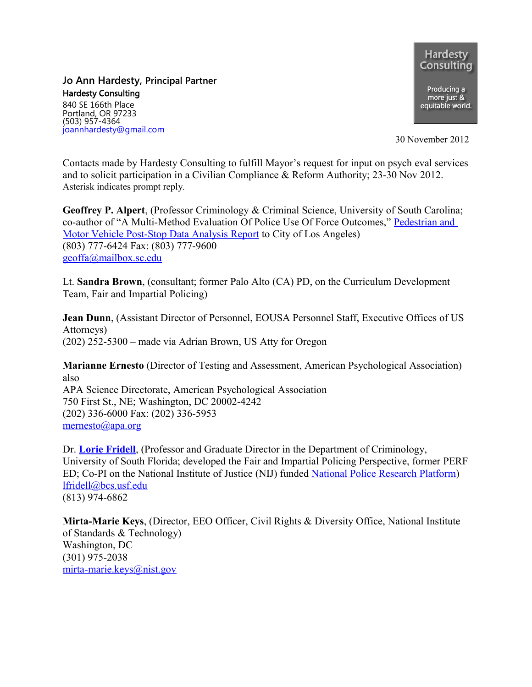**Hardesty** Consulting Producing a more just &<br>equitable world.

**Jo Ann Hardesty, Principal Partner** Hardesty Consulting 840 SE 166th Place

Portland, OR 97233 (503) 957-4364 [joannhardesty@gmail.com](mailto:joannhardesty@gmail.com)

30 November 2012

Contacts made by Hardesty Consulting to fulfill Mayor's request for input on psych eval services and to solicit participation in a Civilian Compliance & Reform Authority; 23-30 Nov 2012. Asterisk indicates prompt reply.

**Geoffrey P. Alpert**, (Professor Criminology & Criminal Science, University of South Carolina; co-author of "A Multi-Method Evaluation Of Police Use Of Force Outcomes," [Pedestrian and](http://www.google.com/url?sa=t&rct=j&q=&esrc=s&frm=1&source=web&cd=2&cad=rja&ved=0CDwQFjAB&url=http://www.lapdonline.org/home/pdf_view/32911&ei=Vt23UNvePMGmigKiqYH4Dg&usg=AFQjCNGA4x-eBSZ1gzzROlN6l1hYWBcnwQ&sig2=2-gXXJNp9Y35i6Z1pdhr8g) [Motor Vehicle Post-Stop Data Analysis Report](http://www.google.com/url?sa=t&rct=j&q=&esrc=s&frm=1&source=web&cd=2&cad=rja&ved=0CDwQFjAB&url=http://www.lapdonline.org/home/pdf_view/32911&ei=Vt23UNvePMGmigKiqYH4Dg&usg=AFQjCNGA4x-eBSZ1gzzROlN6l1hYWBcnwQ&sig2=2-gXXJNp9Y35i6Z1pdhr8g) to City of Los Angeles) (803) 777-6424 Fax: (803) 777-9600 [geoffa@mailbox.sc.edu](mailto:geoffa@mailbox.sc.edu)

Lt. **Sandra Brown**, (consultant; former Palo Alto (CA) PD, on the Curriculum Development Team, Fair and Impartial Policing)

**Jean Dunn**, (Assistant Director of Personnel, EOUSA Personnel Staff, Executive Offices of US Attorneys) (202) 252-5300 – made via Adrian Brown, US Atty for Oregon

**Marianne Ernesto** (Director of Testing and Assessment, American Psychological Association) also APA Science Directorate, American Psychological Association 750 First St., NE; Washington, DC 20002-4242 (202) 336-6000 Fax: (202) 336-5953 [mernesto@apa.org](mailto:mernesto@apa.org)

Dr. **[Lorie Fridell](http://fairandimpartialpolicing.com/people/fridell.html)**, (Professor and Graduate Director in the Department of Criminology, University of South Florida; developed the Fair and Impartial Policing Perspective, former PERF ED; Co-PI on the National Institute of Justice (NIJ) funded [National Police Research Platform\)](http://www.nationalpoliceresearch.org/) [lfridell@bcs.usf.edu](mailto:lfridell@bcs.usf.edu) (813) 974-6862

**Mirta-Marie Keys**, (Director, EEO Officer, Civil Rights & Diversity Office, National Institute of Standards & Technology) Washington, DC (301) 975-2038 [mirta-marie.keys@nist.gov](mailto:mirta-marie.keys@nist.gov)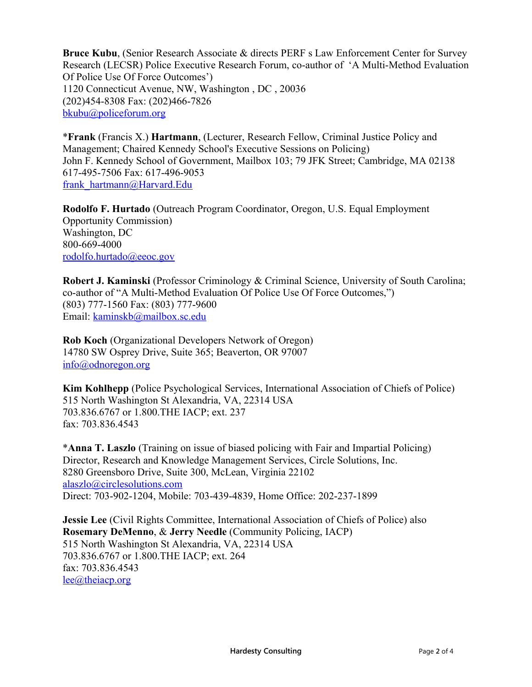**Bruce Kubu**, (Senior Research Associate & directs PERF s Law Enforcement Center for Survey Research (LECSR) Police Executive Research Forum, co-author of 'A Multi-Method Evaluation Of Police Use Of Force Outcomes') 1120 Connecticut Avenue, NW, Washington , DC , 20036 (202)454-8308 Fax: (202)466-7826 [bkubu@policeforum.org](mailto:bkubu@policeforum.org)

\***Frank** (Francis X.) **Hartmann**, (Lecturer, Research Fellow, Criminal Justice Policy and Management; Chaired Kennedy School's Executive Sessions on Policing) John F. Kennedy School of Government, Mailbox 103; 79 JFK Street; Cambridge, MA 02138 617-495-7506 Fax: 617-496-9053 [frank\\_hartmann@Harvard.Edu](mailto:frank_hartmann@Harvard.Edu)

**Rodolfo F. Hurtado** (Outreach Program Coordinator, Oregon, U.S. Equal Employment Opportunity Commission) Washington, DC 800-669-4000 [rodolfo.hurtado@eeoc.gov](mailto:rodolfo.hurtado@eeoc.gov)

**Robert J. Kaminski** (Professor Criminology & Criminal Science, University of South Carolina; co-author of "A Multi-Method Evaluation Of Police Use Of Force Outcomes,") (803) 777-1560 Fax: (803) 777-9600 Email: [kaminskb@mailbox.sc.edu](mailto:kaminskb@mailbox.sc.edu)

**Rob Koch** (Organizational Developers Network of Oregon) 14780 SW Osprey Drive, Suite 365; Beaverton, OR 97007 [info@odnoregon.org](mailto:info@odnoregon.org)

**Kim Kohlhepp** (Police Psychological Services, International Association of Chiefs of Police) 515 North Washington St Alexandria, VA, 22314 USA 703.836.6767 or 1.800.THE IACP; ext. 237 fax: 703.836.4543

\***Anna T. Laszlo** (Training on issue of biased policing with Fair and Impartial Policing) Director, Research and Knowledge Management Services, Circle Solutions, Inc. 8280 Greensboro Drive, Suite 300, McLean, Virginia 22102 [alaszlo@circlesolutions.com](mailto:alaszlo@circlesolutions.com) Direct: 703-902-1204, Mobile: 703-439-4839, Home Office: 202-237-1899

**Jessie Lee** (Civil Rights Committee, International Association of Chiefs of Police) also **Rosemary DeMenno**, & **Jerry Needle** (Community Policing, IACP) 515 North Washington St Alexandria, VA, 22314 USA 703.836.6767 or 1.800.THE IACP; ext. 264 fax: 703.836.4543 [lee@theiacp.org](mailto:lee@theiacp.org)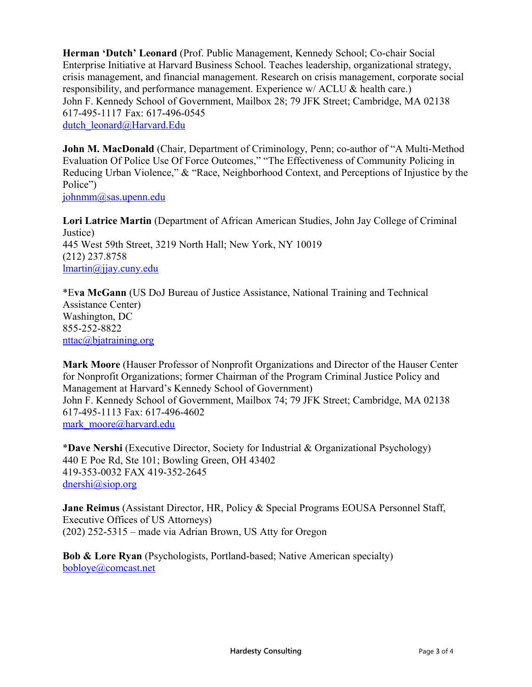**Herman 'Dutch' Leonard** (Prof. Public Management, Kennedy School; Co-chair Social Enterprise Initiative at Harvard Business School. Teaches leadership, organizational strategy, crisis management, and financial management. Research on crisis management, corporate social responsibility, and performance management. Experience w/ ACLU & health care.) John F. Kennedy School of Government, Mailbox 28; 79 JFK Street; Cambridge, MA 02138 617-495-1117 Fax: 617-496-0545 [dutch\\_leonard@Harvard.Edu](mailto:dutch_leonard@Harvard.Edu)

**John M. MacDonald** (Chair, Department of Criminology, Penn; co-author of "A Multi-Method Evaluation Of Police Use Of Force Outcomes," "The Effectiveness of Community Policing in Reducing Urban Violence," & "Race, Neighborhood Context, and Perceptions of Injustice by the Police")

[johnmm@sas.upenn.edu](mailto:johnmm@sas.upenn.edu)

**Lori Latrice Martin** (Department of African American Studies, John Jay College of Criminal Justice) 445 West 59th Street, 3219 North Hall; New York, NY 10019 (212) 237.8758 [lmartin@jjay.cuny.edu](mailto:lmartin@jjay.cuny.edu)

\*E**va McGann** (US DoJ Bureau of Justice Assistance, National Training and Technical Assistance Center) Washington, DC 855-252-8822 [nttac@bjatraining.org](mailto:nttac@bjatraining.org)

**Mark Moore** (Hauser Professor of Nonprofit Organizations and Director of the Hauser Center for Nonprofit Organizations; former Chairman of the Program Criminal Justice Policy and Management at Harvard's Kennedy School of Government) John F. Kennedy School of Government, Mailbox 74; 79 JFK Street; Cambridge, MA 02138 617-495-1113 Fax: 617-496-4602 [mark\\_moore@harvard.edu](mailto:mark_moore@harvard.edu)

\***Dave Nershi** (Executive Director, Society for Industrial & Organizational Psychology) 440 E Poe Rd, Ste 101; Bowling Green, OH 43402 419-353-0032 FAX 419-352-2645 [dnershi@siop.org](mailto:dnershi@siop.org)

**Jane Reimus** (Assistant Director, HR, Policy & Special Programs EOUSA Personnel Staff, Executive Offices of US Attorneys) (202) 252-5315 – made via Adrian Brown, US Atty for Oregon

**Bob & Lore Ryan** (Psychologists, Portland-based; Native American specialty) [bobloye@comcast.net](mailto:bobloye@comcast.net)